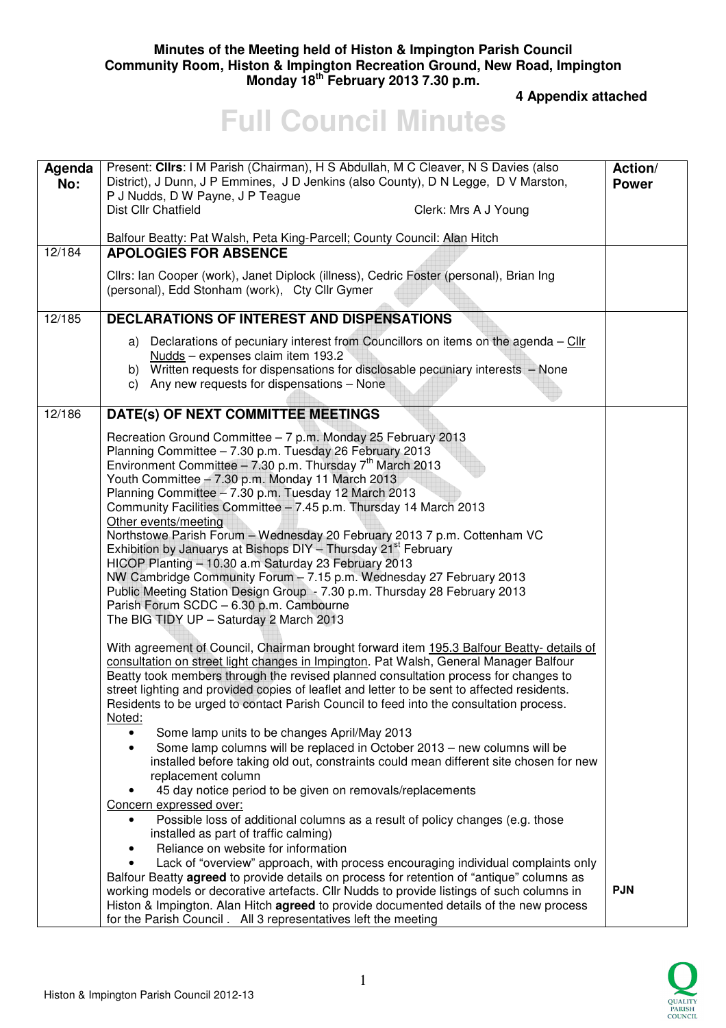## **Minutes of the Meeting held of Histon & Impington Parish Council Community Room, Histon & Impington Recreation Ground, New Road, Impington Monday 18th February 2013 7.30 p.m.**

 **4 Appendix attached** 

## **Full Council Minutes**

| Agenda<br>No: | Present: Clirs: I M Parish (Chairman), H S Abdullah, M C Cleaver, N S Davies (also<br>District), J Dunn, J P Emmines, J D Jenkins (also County), D N Legge, D V Marston,<br>P J Nudds, D W Payne, J P Teague<br>Dist Cllr Chatfield<br>Clerk: Mrs A J Young                                                                                                                                                                                                                                                                                                                                                                                                                                                                                                                                                                                                                                                                                                                                                                                                                                                                                                                                                                                                                                                                                                                                                  | Action/<br><b>Power</b> |
|---------------|--------------------------------------------------------------------------------------------------------------------------------------------------------------------------------------------------------------------------------------------------------------------------------------------------------------------------------------------------------------------------------------------------------------------------------------------------------------------------------------------------------------------------------------------------------------------------------------------------------------------------------------------------------------------------------------------------------------------------------------------------------------------------------------------------------------------------------------------------------------------------------------------------------------------------------------------------------------------------------------------------------------------------------------------------------------------------------------------------------------------------------------------------------------------------------------------------------------------------------------------------------------------------------------------------------------------------------------------------------------------------------------------------------------|-------------------------|
|               | Balfour Beatty: Pat Walsh, Peta King-Parcell; County Council: Alan Hitch                                                                                                                                                                                                                                                                                                                                                                                                                                                                                                                                                                                                                                                                                                                                                                                                                                                                                                                                                                                                                                                                                                                                                                                                                                                                                                                                     |                         |
| 12/184        | <b>APOLOGIES FOR ABSENCE</b>                                                                                                                                                                                                                                                                                                                                                                                                                                                                                                                                                                                                                                                                                                                                                                                                                                                                                                                                                                                                                                                                                                                                                                                                                                                                                                                                                                                 |                         |
|               | Cllrs: Ian Cooper (work), Janet Diplock (illness), Cedric Foster (personal), Brian Ing<br>(personal), Edd Stonham (work), Cty Cllr Gymer                                                                                                                                                                                                                                                                                                                                                                                                                                                                                                                                                                                                                                                                                                                                                                                                                                                                                                                                                                                                                                                                                                                                                                                                                                                                     |                         |
| 12/185        | <b>DECLARATIONS OF INTEREST AND DISPENSATIONS</b>                                                                                                                                                                                                                                                                                                                                                                                                                                                                                                                                                                                                                                                                                                                                                                                                                                                                                                                                                                                                                                                                                                                                                                                                                                                                                                                                                            |                         |
|               | a) Declarations of pecuniary interest from Councillors on items on the agenda $-\frac{CIIr}{\sqrt{2}}$<br>Nudds - expenses claim item 193.2<br>b) Written requests for dispensations for disclosable pecuniary interests - None<br>c) Any new requests for dispensations - None                                                                                                                                                                                                                                                                                                                                                                                                                                                                                                                                                                                                                                                                                                                                                                                                                                                                                                                                                                                                                                                                                                                              |                         |
| 12/186        | DATE(s) OF NEXT COMMITTEE MEETINGS                                                                                                                                                                                                                                                                                                                                                                                                                                                                                                                                                                                                                                                                                                                                                                                                                                                                                                                                                                                                                                                                                                                                                                                                                                                                                                                                                                           |                         |
|               | Recreation Ground Committee - 7 p.m. Monday 25 February 2013<br>Planning Committee - 7.30 p.m. Tuesday 26 February 2013<br>Environment Committee - 7.30 p.m. Thursday $7th$ March 2013<br>Youth Committee - 7.30 p.m. Monday 11 March 2013<br>Planning Committee - 7.30 p.m. Tuesday 12 March 2013<br>Community Facilities Committee - 7.45 p.m. Thursday 14 March 2013<br>Other events/meeting<br>Northstowe Parish Forum - Wednesday 20 February 2013 7 p.m. Cottenham VC<br>Exhibition by Januarys at Bishops DIY - Thursday 21 <sup>st</sup> February<br>HICOP Planting - 10.30 a.m Saturday 23 February 2013<br>NW Cambridge Community Forum - 7.15 p.m. Wednesday 27 February 2013<br>Public Meeting Station Design Group - 7.30 p.m. Thursday 28 February 2013<br>Parish Forum SCDC - 6.30 p.m. Cambourne<br>The BIG TIDY UP - Saturday 2 March 2013                                                                                                                                                                                                                                                                                                                                                                                                                                                                                                                                                  |                         |
|               | With agreement of Council, Chairman brought forward item 195.3 Balfour Beatty- details of<br>consultation on street light changes in Impington. Pat Walsh, General Manager Balfour<br>Beatty took members through the revised planned consultation process for changes to<br>street lighting and provided copies of leaflet and letter to be sent to affected residents.<br>Residents to be urged to contact Parish Council to feed into the consultation process.<br>Noted:<br>Some lamp units to be changes April/May 2013<br>Some lamp columns will be replaced in October 2013 - new columns will be<br>$\bullet$<br>installed before taking old out, constraints could mean different site chosen for new<br>replacement column<br>45 day notice period to be given on removals/replacements<br>Concern expressed over:<br>Possible loss of additional columns as a result of policy changes (e.g. those<br>$\bullet$<br>installed as part of traffic calming)<br>Reliance on website for information<br>$\bullet$<br>Lack of "overview" approach, with process encouraging individual complaints only<br>$\bullet$<br>Balfour Beatty agreed to provide details on process for retention of "antique" columns as<br>working models or decorative artefacts. Cllr Nudds to provide listings of such columns in<br>Histon & Impington. Alan Hitch agreed to provide documented details of the new process | <b>PJN</b>              |

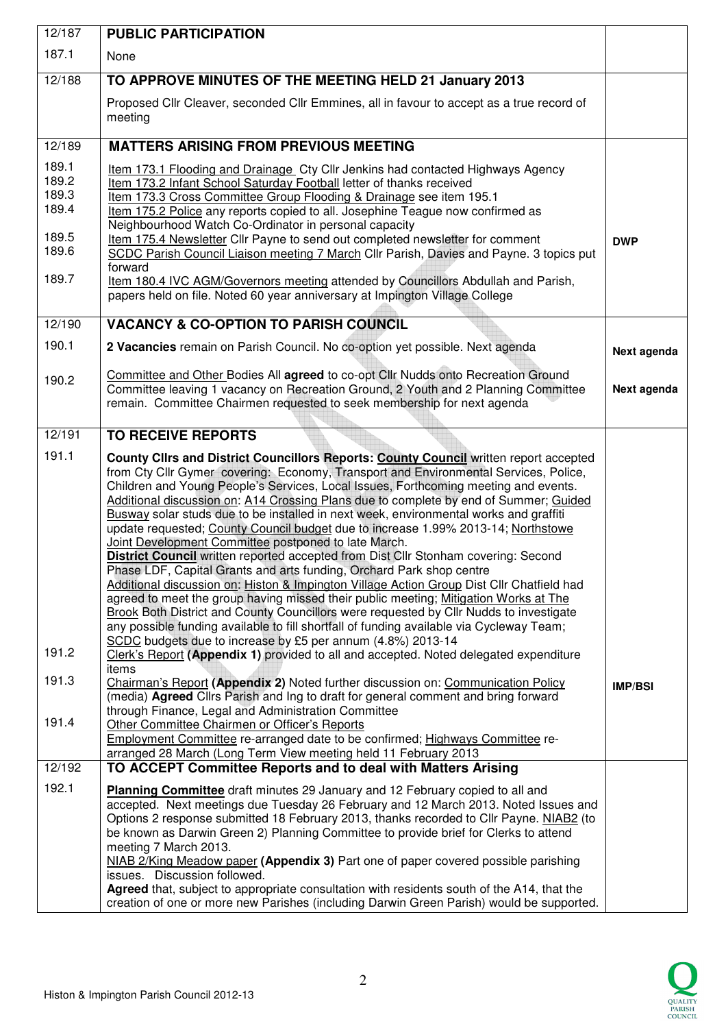| 12/187                                                      | <b>PUBLIC PARTICIPATION</b>                                                                                                                                                                                                                                                                                                                                                                                                                                                                                                                                                                                                                                                                                                                                                                                                                                                                                                                                                                                                                                                                                                                                                                                                                                                                                        |                |
|-------------------------------------------------------------|--------------------------------------------------------------------------------------------------------------------------------------------------------------------------------------------------------------------------------------------------------------------------------------------------------------------------------------------------------------------------------------------------------------------------------------------------------------------------------------------------------------------------------------------------------------------------------------------------------------------------------------------------------------------------------------------------------------------------------------------------------------------------------------------------------------------------------------------------------------------------------------------------------------------------------------------------------------------------------------------------------------------------------------------------------------------------------------------------------------------------------------------------------------------------------------------------------------------------------------------------------------------------------------------------------------------|----------------|
| 187.1                                                       | None                                                                                                                                                                                                                                                                                                                                                                                                                                                                                                                                                                                                                                                                                                                                                                                                                                                                                                                                                                                                                                                                                                                                                                                                                                                                                                               |                |
| 12/188                                                      | TO APPROVE MINUTES OF THE MEETING HELD 21 January 2013                                                                                                                                                                                                                                                                                                                                                                                                                                                                                                                                                                                                                                                                                                                                                                                                                                                                                                                                                                                                                                                                                                                                                                                                                                                             |                |
|                                                             | Proposed Cllr Cleaver, seconded Cllr Emmines, all in favour to accept as a true record of<br>meeting                                                                                                                                                                                                                                                                                                                                                                                                                                                                                                                                                                                                                                                                                                                                                                                                                                                                                                                                                                                                                                                                                                                                                                                                               |                |
| 12/189                                                      | <b>MATTERS ARISING FROM PREVIOUS MEETING</b>                                                                                                                                                                                                                                                                                                                                                                                                                                                                                                                                                                                                                                                                                                                                                                                                                                                                                                                                                                                                                                                                                                                                                                                                                                                                       |                |
| 189.1<br>189.2<br>189.3<br>189.4<br>189.5<br>189.6<br>189.7 | Item 173.1 Flooding and Drainage Cty Cllr Jenkins had contacted Highways Agency<br>Item 173.2 Infant School Saturday Football letter of thanks received<br>Item 173.3 Cross Committee Group Flooding & Drainage see item 195.1<br>Item 175.2 Police any reports copied to all. Josephine Teague now confirmed as<br>Neighbourhood Watch Co-Ordinator in personal capacity<br>Item 175.4 Newsletter Cllr Payne to send out completed newsletter for comment<br>SCDC Parish Council Liaison meeting 7 March Cllr Parish, Davies and Payne. 3 topics put<br>forward<br>Item 180.4 IVC AGM/Governors meeting attended by Councillors Abdullah and Parish,<br>papers held on file. Noted 60 year anniversary at Impington Village College                                                                                                                                                                                                                                                                                                                                                                                                                                                                                                                                                                               | <b>DWP</b>     |
| 12/190                                                      | <b>VACANCY &amp; CO-OPTION TO PARISH COUNCIL</b>                                                                                                                                                                                                                                                                                                                                                                                                                                                                                                                                                                                                                                                                                                                                                                                                                                                                                                                                                                                                                                                                                                                                                                                                                                                                   |                |
| 190.1                                                       | 2 Vacancies remain on Parish Council. No co-option yet possible. Next agenda                                                                                                                                                                                                                                                                                                                                                                                                                                                                                                                                                                                                                                                                                                                                                                                                                                                                                                                                                                                                                                                                                                                                                                                                                                       | Next agenda    |
| 190.2                                                       | Committee and Other Bodies All agreed to co-opt Cllr Nudds onto Recreation Ground<br>Committee leaving 1 vacancy on Recreation Ground, 2 Youth and 2 Planning Committee<br>remain. Committee Chairmen requested to seek membership for next agenda                                                                                                                                                                                                                                                                                                                                                                                                                                                                                                                                                                                                                                                                                                                                                                                                                                                                                                                                                                                                                                                                 | Next agenda    |
| 12/191                                                      | <b>TO RECEIVE REPORTS</b>                                                                                                                                                                                                                                                                                                                                                                                                                                                                                                                                                                                                                                                                                                                                                                                                                                                                                                                                                                                                                                                                                                                                                                                                                                                                                          |                |
| 191.1<br>191.2                                              | County Clirs and District Councillors Reports: County Council written report accepted<br>from Cty Cllr Gymer covering: Economy, Transport and Environmental Services, Police,<br>Children and Young People's Services, Local Issues, Forthcoming meeting and events.<br>Additional discussion on: A14 Crossing Plans due to complete by end of Summer; Guided<br>Busway solar studs due to be installed in next week, environmental works and graffiti<br>update requested; County Council budget due to increase 1.99% 2013-14; Northstowe<br>Joint Development Committee postponed to late March.<br><b>District Council written reported accepted from Dist Cllr Stonham covering: Second</b><br>Phase LDF, Capital Grants and arts funding, Orchard Park shop centre<br>Additional discussion on: Histon & Impington Village Action Group Dist Cllr Chatfield had<br>agreed to meet the group having missed their public meeting; Mitigation Works at The<br><b>Brook Both District and County Councillors were requested by Cllr Nudds to investigate</b><br>any possible funding available to fill shortfall of funding available via Cycleway Team;<br>SCDC budgets due to increase by £5 per annum (4.8%) 2013-14<br>Clerk's Report (Appendix 1) provided to all and accepted. Noted delegated expenditure |                |
| 191.3                                                       | items<br>Chairman's Report (Appendix 2) Noted further discussion on: Communication Policy                                                                                                                                                                                                                                                                                                                                                                                                                                                                                                                                                                                                                                                                                                                                                                                                                                                                                                                                                                                                                                                                                                                                                                                                                          |                |
| 191.4                                                       | (media) Agreed Clirs Parish and Ing to draft for general comment and bring forward<br>through Finance, Legal and Administration Committee<br>Other Committee Chairmen or Officer's Reports<br>Employment Committee re-arranged date to be confirmed; Highways Committee re-<br>arranged 28 March (Long Term View meeting held 11 February 2013                                                                                                                                                                                                                                                                                                                                                                                                                                                                                                                                                                                                                                                                                                                                                                                                                                                                                                                                                                     | <b>IMP/BSI</b> |
| 12/192                                                      | TO ACCEPT Committee Reports and to deal with Matters Arising                                                                                                                                                                                                                                                                                                                                                                                                                                                                                                                                                                                                                                                                                                                                                                                                                                                                                                                                                                                                                                                                                                                                                                                                                                                       |                |
| 192.1                                                       | Planning Committee draft minutes 29 January and 12 February copied to all and<br>accepted. Next meetings due Tuesday 26 February and 12 March 2013. Noted Issues and<br>Options 2 response submitted 18 February 2013, thanks recorded to Cllr Payne. NIAB2 (to<br>be known as Darwin Green 2) Planning Committee to provide brief for Clerks to attend<br>meeting 7 March 2013.<br>NIAB 2/King Meadow paper (Appendix 3) Part one of paper covered possible parishing<br>issues. Discussion followed.<br>Agreed that, subject to appropriate consultation with residents south of the A14, that the<br>creation of one or more new Parishes (including Darwin Green Parish) would be supported.                                                                                                                                                                                                                                                                                                                                                                                                                                                                                                                                                                                                                   |                |

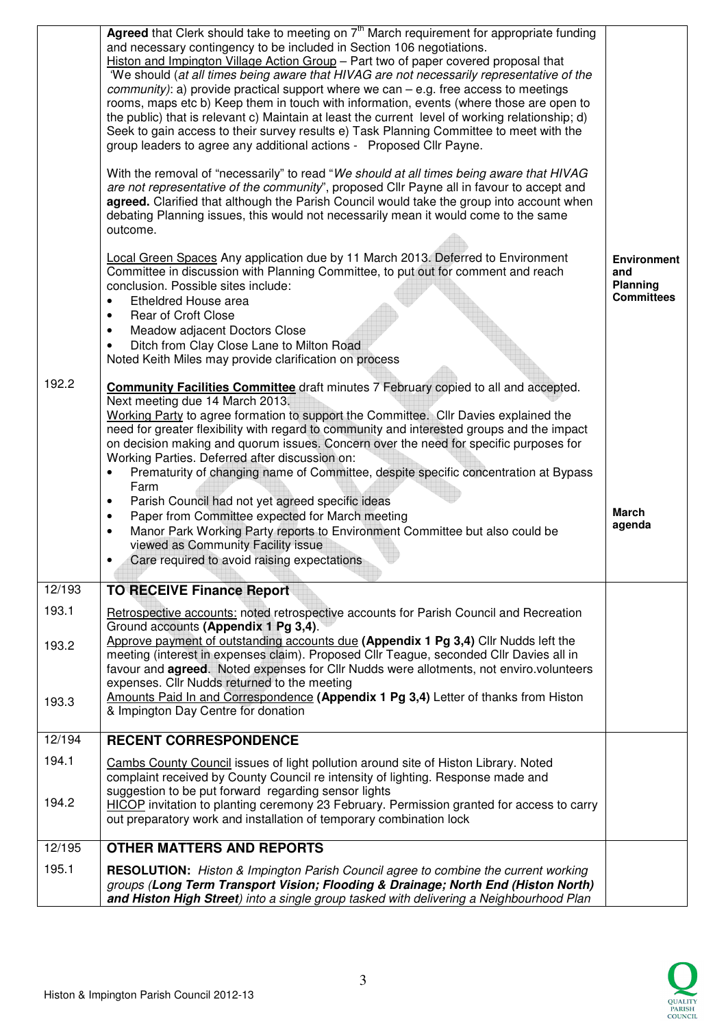|                | Agreed that Clerk should take to meeting on 7 <sup>th</sup> March requirement for appropriate funding<br>and necessary contingency to be included in Section 106 negotiations.<br>Histon and Impington Village Action Group - Part two of paper covered proposal that<br>'We should (at all times being aware that HIVAG are not necessarily representative of the<br><i>community</i> ): a) provide practical support where we can $-$ e.g. free access to meetings<br>rooms, maps etc b) Keep them in touch with information, events (where those are open to<br>the public) that is relevant c) Maintain at least the current level of working relationship; d)<br>Seek to gain access to their survey results e) Task Planning Committee to meet with the<br>group leaders to agree any additional actions - Proposed Cllr Payne. |                                                            |
|----------------|---------------------------------------------------------------------------------------------------------------------------------------------------------------------------------------------------------------------------------------------------------------------------------------------------------------------------------------------------------------------------------------------------------------------------------------------------------------------------------------------------------------------------------------------------------------------------------------------------------------------------------------------------------------------------------------------------------------------------------------------------------------------------------------------------------------------------------------|------------------------------------------------------------|
|                | With the removal of "necessarily" to read "We should at all times being aware that HIVAG<br>are not representative of the community", proposed Cllr Payne all in favour to accept and<br>agreed. Clarified that although the Parish Council would take the group into account when<br>debating Planning issues, this would not necessarily mean it would come to the same<br>outcome.                                                                                                                                                                                                                                                                                                                                                                                                                                                 |                                                            |
|                | <b>Local Green Spaces Any application due by 11 March 2013. Deferred to Environment</b><br>Committee in discussion with Planning Committee, to put out for comment and reach<br>conclusion. Possible sites include:<br>Etheldred House area<br>٠<br><b>Rear of Croft Close</b><br>$\bullet$<br>Meadow adjacent Doctors Close<br>$\bullet$<br>Ditch from Clay Close Lane to Milton Road<br>$\bullet$<br>Noted Keith Miles may provide clarification on process                                                                                                                                                                                                                                                                                                                                                                         | <b>Environment</b><br>and<br>Planning<br><b>Committees</b> |
| 192.2          | <b>Community Facilities Committee</b> draft minutes 7 February copied to all and accepted.<br>Next meeting due 14 March 2013.<br>Working Party to agree formation to support the Committee. Cllr Davies explained the<br>need for greater flexibility with regard to community and interested groups and the impact<br>on decision making and quorum issues. Concern over the need for specific purposes for<br>Working Parties. Deferred after discussion on:<br>Prematurity of changing name of Committee, despite specific concentration at Bypass<br>$\bullet$<br>Farm                                                                                                                                                                                                                                                            |                                                            |
|                | Parish Council had not yet agreed specific ideas<br>$\bullet$<br>Paper from Committee expected for March meeting<br>$\bullet$<br>Manor Park Working Party reports to Environment Committee but also could be<br>$\bullet$<br>viewed as Community Facility issue<br>Care required to avoid raising expectations<br>$\bullet$                                                                                                                                                                                                                                                                                                                                                                                                                                                                                                           | <b>March</b><br>agenda                                     |
| 12/193         | <b>TO RECEIVE Finance Report</b>                                                                                                                                                                                                                                                                                                                                                                                                                                                                                                                                                                                                                                                                                                                                                                                                      |                                                            |
| 193.1<br>193.2 | Retrospective accounts: noted retrospective accounts for Parish Council and Recreation<br>Ground accounts (Appendix 1 Pg 3,4).<br>Approve payment of outstanding accounts due (Appendix 1 Pg 3,4) Cllr Nudds left the                                                                                                                                                                                                                                                                                                                                                                                                                                                                                                                                                                                                                 |                                                            |
| 193.3          | meeting (interest in expenses claim). Proposed Cllr Teague, seconded Cllr Davies all in<br>favour and <b>agreed</b> . Noted expenses for Cllr Nudds were allotments, not enviro.volunteers<br>expenses. Cllr Nudds returned to the meeting<br>Amounts Paid In and Correspondence (Appendix 1 Pg 3,4) Letter of thanks from Histon<br>& Impington Day Centre for donation                                                                                                                                                                                                                                                                                                                                                                                                                                                              |                                                            |
| 12/194         | <b>RECENT CORRESPONDENCE</b>                                                                                                                                                                                                                                                                                                                                                                                                                                                                                                                                                                                                                                                                                                                                                                                                          |                                                            |
| 194.1<br>194.2 | Cambs County Council issues of light pollution around site of Histon Library. Noted<br>complaint received by County Council re intensity of lighting. Response made and<br>suggestion to be put forward regarding sensor lights<br>HICOP invitation to planting ceremony 23 February. Permission granted for access to carry<br>out preparatory work and installation of temporary combination lock                                                                                                                                                                                                                                                                                                                                                                                                                                   |                                                            |
| 12/195         | <b>OTHER MATTERS AND REPORTS</b>                                                                                                                                                                                                                                                                                                                                                                                                                                                                                                                                                                                                                                                                                                                                                                                                      |                                                            |
| 195.1          | RESOLUTION: Histon & Impington Parish Council agree to combine the current working<br>groups (Long Term Transport Vision; Flooding & Drainage; North End (Histon North)<br>and Histon High Street) into a single group tasked with delivering a Neighbourhood Plan                                                                                                                                                                                                                                                                                                                                                                                                                                                                                                                                                                    |                                                            |